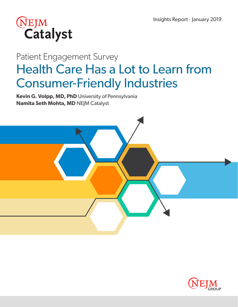

# Patient Engagement Survey Health Care Has a Lot to Learn from Consumer-Friendly Industries

**Kevin G. Volpp, MD, PhD** University of Pennsylvania **Namita Seth Mohta, MD** NEJM Catalyst



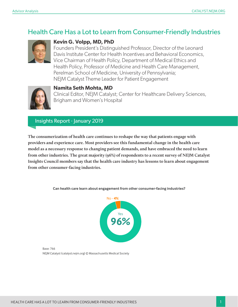### Health Care Has a Lot to Learn from Consumer-Friendly Industries



#### **Kevin G. Volpp, MD, PhD**

Founders President's Distinguished Professor, Director of the Leonard Davis Institute Center for Health Incentives and Behavioral Economics, Vice Chairman of Health Policy, Department of Medical Ethics and Health Policy, Professor of Medicine and Health Care Management, Perelman School of Medicine, University of Pennsylvania; NEJM Catalyst Theme Leader for Patient Engagement



#### **Namita Seth Mohta, MD**

Clinical Editor, NEJM Catalyst; Center for Healthcare Delivery Sciences, Brigham and Women's Hospital

#### Insights Report · January 2019

**The consumerization of health care continues to reshape the way that patients engage with providers and experience care. Most providers see this fundamental change in the health care model as a necessary response to changing patient demands, and have embraced the need to learn from other industries. The great majority (96%) of respondents to a recent survey of NEJM Catalyst Insights Council members say that the health care industry has lessons to learn about engagement from other consumer-facing industries.**



**Can health care learn about engagement from other consumer-facing industries?**

Base: 766 NEJM Catalyst (catalyst.nejm.org) © Massachusetts Medical Society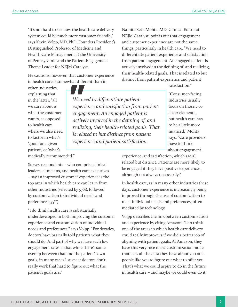"It's not hard to see how the health care delivery system could be much more customer-friendly," says Kevin Volpp, MD, PhD, Founders President's Distinguished Professor of Medicine and Health Care Management at the University of Pennsylvania and the Patient Engagement Theme Leader for NEJM Catalyst.

He cautions, however, that customer experience in health care is somewhat different than in

other industries, explaining that in the latter, "all we care about is what the customer wants, as opposed to health care where we also need to factor in what's 'good for a given patient,' or 'what's medically recommended.'"

*We need to differentiate patient experience and satisfaction from patient engagement. An engaged patient is actively involved in the defining of, and realizing, their health-related goals. That is related to but distinct from patient experience and patient satisfaction.*

satisfaction."

"Consumer-facing industries usually focus on those two latter elements, but health care has to be a little more nuanced," Mohta says. "Care providers have to think about engagement,

experience, and satisfaction, which are all related but distinct. Patients are more likely to be engaged if they have positive experiences, although not always necessarily."

Namita Seth Mohta, MD, Clinical Editor at NEJM Catalyst, points out that engagement and customer experience are not the same things, particularly in health care. "We need to differentiate patient experience and satisfaction from patient engagement. An engaged patient is actively involved in the defining of, and realizing, their health-related goals. That is related to but distinct from patient experience and patient

In health care, as in many other industries these days, customer experience is increasingly being improved through the use of customization to meet individual needs and preferences, often mediated by technology.

Volpp describes the link between customization and experience by citing Amazon. "I do think one of the areas in which health care delivery could really improve is if we did a better job of aligning with patient goals. At Amazon, they have this very nice mass-customization model that uses all the data they have about you and people like you to figure out what to offer you. That's what we could aspire to do in the future in health care – and maybe we could even do it

Survey respondents – who comprise clinical leaders, clinicians, and health care executives – say an improved customer experience is the top area in which health care can learn from other industries (selected by 57%), followed by customization to individual needs and preferences (35%).

"I do think health care is substantially underdeveloped in both improving the customer experience and customization of individual needs and preferences," says Volpp. "For decades, doctors have basically told patients what they should do. And part of why we have such low engagement rates is that while there's some overlap between that and the patient's own goals, in many cases I suspect doctors don't really work that hard to figure out what the patient's goals are."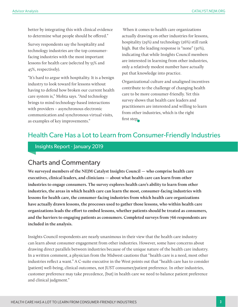better by integrating this with clinical evidence to determine what people should be offered."

Survey respondents say the hospitality and technology industries are the top consumerfacing industries with the most important lessons for health care (selected by 55% and 45%, respectively).

"It's hard to argue with hospitality. It is a benign industry to look toward for lessons without having to defend how broken our current health care system is," Mohta says. "And technology brings to mind technology-based interactions with providers – asynchronous electronic communication and synchronous virtual visits, as examples of key improvements."

 When it comes to health care organizations actually drawing on other industries for lessons, hospitality (29%) and technology (26%) still rank high. But the leading response is "none" (30%), indicating that while Insights Council members are interested in learning from other industries, only a relatively modest number have actually put that knowledge into practice.

Organizational culture and unaligned incentives contribute to the challenge of changing health care to be more consumer-friendly. Yet this survey shows that health care leaders and practitioners are interested and willing to learn from other industries, which is the right first step.

### Health Care Has a Lot to Learn from Consumer-Friendly Industries

Insights Report · January 2019

### Charts and Commentary

**We surveyed members of the NEJM Catalyst Insights Council — who comprise health care executives, clinical leaders, and clinicians — about what health care can learn from other industries to engage consumers. The survey explores health care's ability to learn from other industries, the areas in which health care can learn the most, consumer-facing industries with lessons for health care, the consumer-facing industries from which health care organizations have actually drawn lessons, the processes used to gather those lessons, who within health care organizations leads the effort to embed lessons, whether patients should be treated as consumers, and the barriers to engaging patients as consumers. Completed surveys from 766 respondents are included in the analysis.**

Insights Council respondents are nearly unanimous in their view that the health care industry can learn about consumer engagement from other industries. However, some have concerns about drawing direct parallels between industries because of the unique nature of the health care industry. In a written comment, a physician from the Midwest cautions that "health care is a need, most other industries reflect a want." A C-suite executive in the West points out that "health care has to consider [patient] well-being, clinical outcomes, not JUST consumer/patient preference. In other industries, customer preference may take precedence, [but] in health care we need to balance patient preference and clinical judgment."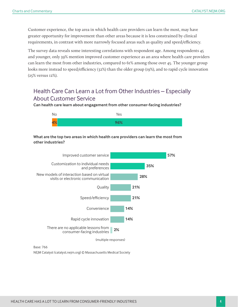Customer experience, the top area in which health care providers can learn the most, may have greater opportunity for improvement than other areas because it is less constrained by clinical requirements, in contrast with more narrowly focused areas such as quality and speed/efficiency.

The survey data reveals some interesting correlations with respondent age. Among respondents 45 and younger, only 39% mention improved customer experience as an area where health care providers can learn the most from other industries, compared to 61% among those over 45. The younger group looks more instead to speed/efficiency (32%) than the older group (19%), and to rapid cycle innovation (25% versus 12%).

### Health Care Can Learn a Lot from Other Industries – Especially About Customer Service

**Can health care learn about engagement from other consumer-facing industries?**



#### **What are the top two areas in which health care providers can learn the most from other industries?**



Base: 766 NEJM Catalyst (catalyst.nejm.org) © Massachusetts Medical Society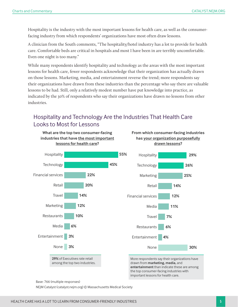Hospitality is the industry with the most important lessons for health care, as well as the consumerfacing industry from which respondents' organizations have most often draw lessons.

A clinician from the South comments, "The hospitality/hotel industry has a lot to provide for health care. Comfortable beds are critical in hospitals and most I have been in are terribly uncomfortable. Even one night is too many."

While many respondents identify hospitality and technology as the areas with the most important lessons for health care, fewer respondents acknowledge that their organization has actually drawn on those lessons. Marketing, media, and entertainment reverse the trend; more respondents say their organizations have drawn from these industries than the percentage who say there are valuable lessons to be had. Still, only a relatively modest number have put knowledge into practice, as indicated by the 30% of respondents who say their organizations have drawn no lessons from other industries.

### Hospitality and Technology Are the Industries That Health Care Looks to Most for Lessons



Base: 766 (multiple responses)

NEJM Catalyst (catalyst.nejm.org) © Massachusetts Medical Society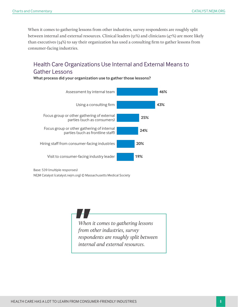When it comes to gathering lessons from other industries, survey respondents are roughly split between internal and external resources. Clinical leaders (51%) and clinicians (47%) are more likely than executives (34%) to say their organization has used a consulting firm to gather lessons from consumer-facing industries.

### Health Care Organizations Use Internal and External Means to Gather Lessons

**What process did your organization use to gather those lessons?**



Base: 539 (multiple responses)

NEJM Catalyst (catalyst.nejm.org) © Massachusetts Medical Society

*When it comes to gathering lessons from other industries, survey respondents are roughly split between internal and external resources.*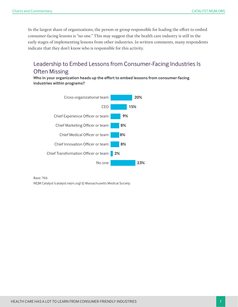In the largest share of organizations, the person or group responsible for leading the effort to embed consumer-facing lessons is "no one." This may suggest that the health care industry is still in the early stages of implementing lessons from other industries. In written comments, many respondents indicate that they don't know who is responsible for this activity.

### Leadership to Embed Lessons from Consumer-Facing Industries Is Often Missing

**Who in your organization heads up the effort to embed lessons from consumer-facing industries within programs?**



Base: 766 NEJM Catalyst (catalyst.nejm.org) © Massachusetts Medical Society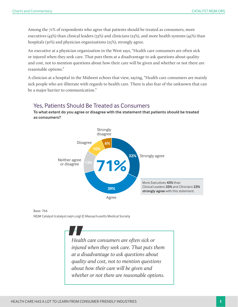Among the 71% of respondents who agree that patients should be treated as consumers, more executives (43%) than clinical leaders (33%) and clinicians (23%), and more health systems (45%) than hospitals (30%) and physician organizations (25%), strongly agree.

An executive at a physician organization in the West says, "Health care consumers are often sick or injured when they seek care. That puts them at a disadvantage to ask questions about quality and cost, not to mention questions about how their care will be given and whether or not there are reasonable options."

A clinician at a hospital in the Midwest echoes that view, saying, "Health care consumers are mainly sick people who are illiterate with regards to health care. There is also fear of the unknown that can be a major barrier to communication."

#### Yes, Patients Should Be Treated as Consumers

**To what extent do you agree or disagree with the statement that patients should be treated as consumers?**



#### Base: 766

NEJM Catalyst (catalyst.nejm.org) © Massachusetts Medical Society

*Health care consumers are often sick or injured when they seek care. That puts them at a disadvantage to ask questions about quality and cost, not to mention questions about how their care will be given and whether or not there are reasonable options.*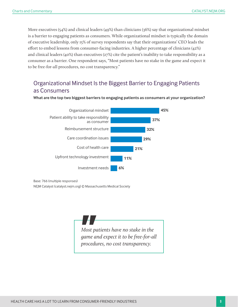More executives (54%) and clinical leaders (49%) than clinicians (36%) say that organizational mindset is a barrier to engaging patients as consumers. While organizational mindset is typically the domain of executive leadership, only 15% of survey respondents say that their organizations' CEO leads the effort to embed lessons from consumer-facing industries. A higher percentage of clinicians (42%) and clinical leaders (40%) than executives (27%) cite the patient's inability to take responsibility as a consumer as a barrier. One respondent says, "Most patients have no stake in the game and expect it to be free-for-all procedures, no cost transparency."

### Organizational Mindset Is the Biggest Barrier to Engaging Patients as Consumers



**What are the top two biggest barriers to engaging patients as consumers at your organization?**

Base: 766 (multiple responses)

NEJM Catalyst (catalyst.nejm.org) © Massachusetts Medical Society

*Most patients have no stake in the game and expect it to be free-for-all procedures, no cost transparency.*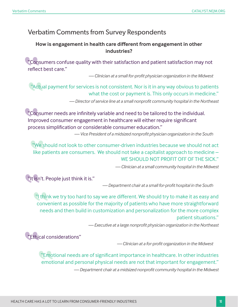# Verbatim Comments from Survey Respondents

### **How is engagement in health care different from engagement in other industries?**

"Consumers confuse quality with their satisfaction and patient satisfaction may not reflect best care."

*— Clinician at a small for-profit physician organization in the Midwest* 

"Actual payment for services is not consistent. Nor is it in any way obvious to patients what the cost or payment is. This only occurs in medicine."

*— Director of service line at a small nonprofit community hospital in the Northeast*

"Consumer needs are infinitely variable and need to be tailored to the individual. Improved consumer engagement in healthcare will either require significant process simplification or considerable consumer education."

*— Vice President of a midsized nonprofit physician organization in the South* 

"We should not look to other consumer-driven industries because we should not act like patients are consumers. We should not take a capitalist approach to medicine – WE SHOULD NOT PROFIT OFF OF THE SICK."

*— Clinician at a small community hospital in the Midwest*

"It isn't. People just think it is."

*— Department chair at a small for-profit hospital in the South*

If think we try too hard to say we are different. We should try to make it as easy and convenient as possible for the majority of patients who have more straightforward needs and then build in customization and personalization for the more complex patient situations."

*— Executive at a large nonprofit physician organization in the Northeast* 

"Ethical considerations"

*— Clinician at a for-profit organization in the Midwest* 

"Emotional needs are of significant importance in healthcare. In other industries emotional and personal physical needs are not that important for engagement."

*— Department chair at a midsized nonprofit community hospital in the Midwest*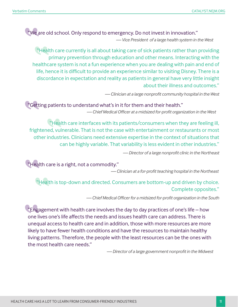"We are old school. Only respond to emergency. Do not invest in innovation." *— Vice President of a large health system in the West* 

"Health care currently is all about taking care of sick patients rather than providing primary prevention through education and other means. Interacting with the healthcare system is not a fun experience when you are dealing with pain and end of life, hence it is difficult to provide an experience similar to visiting Disney. There is a discordance in expectation and reality as patients in general have very little insight about their illness and outcomes."

*— Clinician at a large nonprofit community hospital in the West*

"Getting patients to understand what's in it for them and their health." *— Chief Medical Officer at a midsized for-profit organization in the West*

"Health care interfaces with its patients/consumers when they are feeling ill, frightened, vulnerable. That is not the case with entertainment or restaurants or most other industries. Clinicians need extensive expertise in the context of situations that can be highly variable. That variability is less evident in other industries."

*— Director of a large nonprofit clinic in the Northeast* 

"Health care is a right, not a commodity."

*— Clinician at a for-profit teaching hospital in the Northeast* 

"Health is top-down and directed. Consumers are bottom-up and driven by choice. Complete opposites."

*— Chief Medical Officer for a midsized for-profit organization in the South* 

"Engagement with health care involves the day to day practices of one's life – how one lives one's life affects the needs and issues health care can address. There is unequal access to health care and in addition, those with more resources are more likely to have fewer health conditions and have the resources to maintain healthy living patterns. Therefore, the people with the least resources can be the ones with the most health care needs."

*— Director of a large government nonprofit in the Midwest*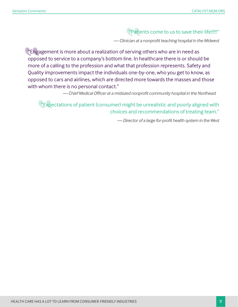### "Patients come to us to save their life!!!!!"

*— Clinician at a nonprofit teaching hospital in the Midwest*

"Engagement is more about a realization of serving others who are in need as opposed to service to a company's bottom line. In healthcare there is or should be more of a calling to the profession and what that profession represents. Safety and Quality improvements impact the individuals one-by-one, who you get to know, as opposed to cars and airlines, which are directed more towards the masses and those with whom there is no personal contact."

*— Chief Medical Officer at a midsized nonprofit community hospital in the Northeast* 

"Expectations of patient (consumer) might be unrealistic and poorly aligned with choices and recommendations of treating team."

*— Director of a large for-profit health system in the West*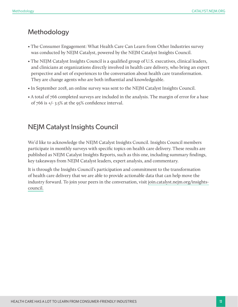### Methodology

- The Consumer Engagement: What Health Care Can Learn from Other Industries survey was conducted by NEJM Catalyst, powered by the NEJM Catalyst Insights Council.
- The NEJM Catalyst Insights Council is a qualified group of U.S. executives, clinical leaders, and clinicians at organizations directly involved in health care delivery, who bring an expert perspective and set of experiences to the conversation about health care transformation. They are change agents who are both influential and knowledgeable.
- In September 2018, an online survey was sent to the NEJM Catalyst Insights Council.
- A total of 766 completed surveys are included in the analysis. The margin of error for a base of 766 is +/- 3.5% at the 95% confidence interval.

### NEJM Catalyst Insights Council

We'd like to acknowledge the NEJM Catalyst Insights Council. Insights Council members participate in monthly surveys with specific topics on health care delivery. These results are published as NEJM Catalyst Insights Reports, such as this one, including summary findings, key takeaways from NEJM Catalyst leaders, expert analysis, and commentary.

It is through the Insights Council's participation and commitment to the transformation of health care delivery that we are able to provide actionable data that can help move the industry forward. To join your peers in the conversation, visit [join.catalyst.nejm.org/insights](http://join.catalyst.nejm.org/insights-council)[council.](http://join.catalyst.nejm.org/insights-council)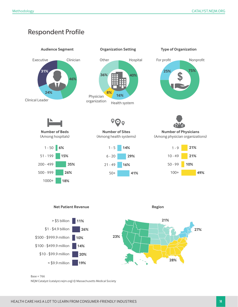# Respondent Profile



 $Base = 766$ 

NEJM Catalyst (catalyst.nejm.org) © Massachusetts Medical Society